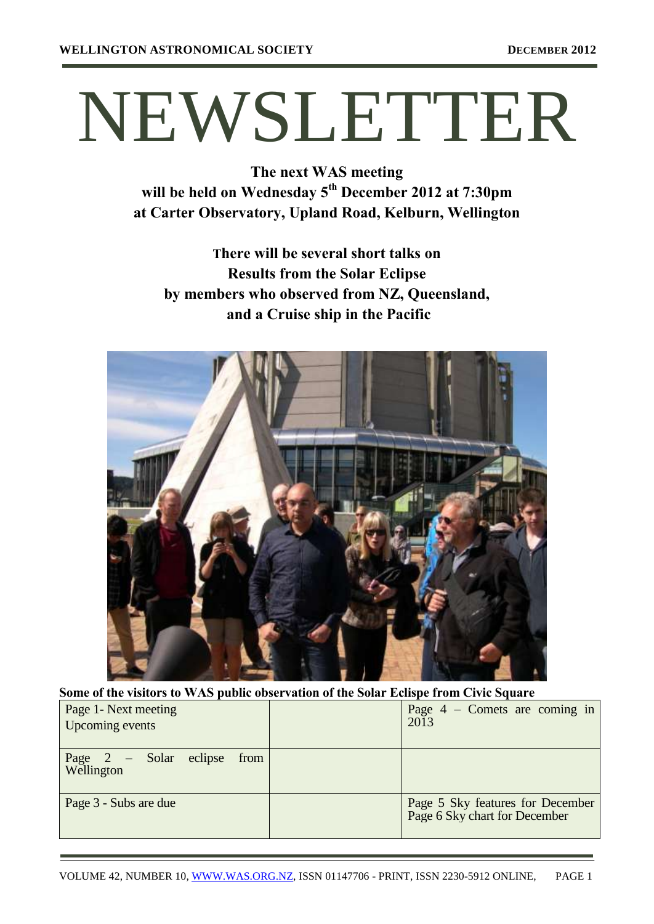# NEWSLETTER

**The next WAS meeting will be held on Wednesday 5 th December 2012 at 7:30pm at Carter Observatory, Upland Road, Kelburn, Wellington**

**There will be several short talks on Results from the Solar Eclipse by members who observed from NZ, Queensland, and a Cruise ship in the Pacific**



**Some of the visitors to WAS public observation of the Solar Eclispe from Civic Square**

| Page 1- Next meeting<br>Upcoming events        | Page $4$ – Comets are coming in<br>2013                           |
|------------------------------------------------|-------------------------------------------------------------------|
| Page $2 - Solar$ eclipse<br>from<br>Wellington |                                                                   |
| Page 3 - Subs are due                          | Page 5 Sky features for December<br>Page 6 Sky chart for December |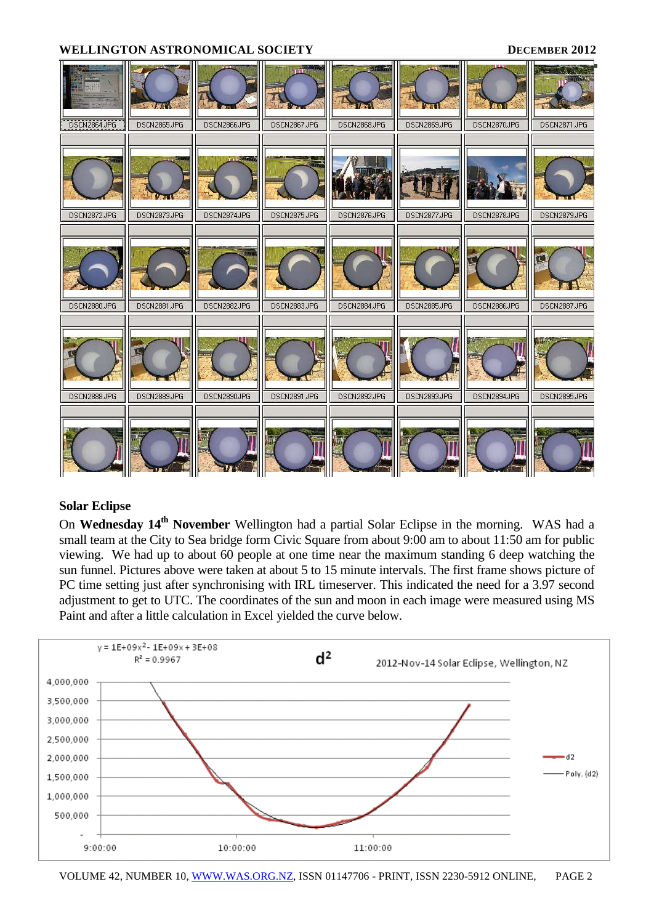#### **WELLINGTON ASTRONOMICAL SOCIETY DECEMBER 2012**





#### **Solar Eclipse**

On **Wednesday 14th November** Wellington had a partial Solar Eclipse in the morning. WAS had a small team at the City to Sea bridge form Civic Square from about 9:00 am to about 11:50 am for public viewing. We had up to about 60 people at one time near the maximum standing 6 deep watching the sun funnel. Pictures above were taken at about 5 to 15 minute intervals. The first frame shows picture of PC time setting just after synchronising with IRL timeserver. This indicated the need for a 3.97 second adjustment to get to UTC. The coordinates of the sun and moon in each image were measured using MS Paint and after a little calculation in Excel yielded the curve below.

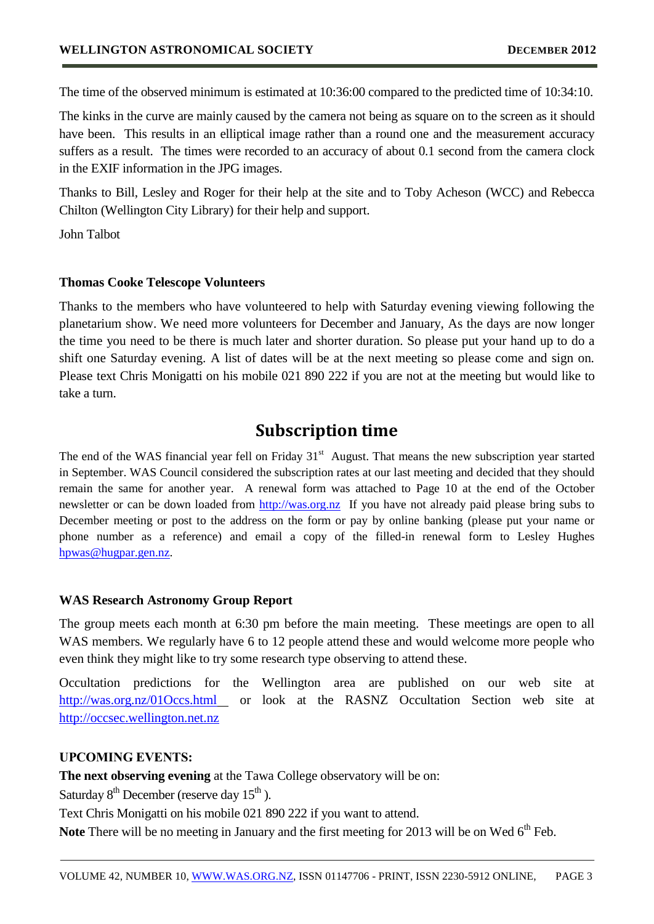The time of the observed minimum is estimated at 10:36:00 compared to the predicted time of 10:34:10.

The kinks in the curve are mainly caused by the camera not being as square on to the screen as it should have been. This results in an elliptical image rather than a round one and the measurement accuracy suffers as a result. The times were recorded to an accuracy of about 0.1 second from the camera clock in the EXIF information in the JPG images.

Thanks to Bill, Lesley and Roger for their help at the site and to Toby Acheson (WCC) and Rebecca Chilton (Wellington City Library) for their help and support.

John Talbot

#### **Thomas Cooke Telescope Volunteers**

Thanks to the members who have volunteered to help with Saturday evening viewing following the planetarium show. We need more volunteers for December and January, As the days are now longer the time you need to be there is much later and shorter duration. So please put your hand up to do a shift one Saturday evening. A list of dates will be at the next meeting so please come and sign on. Please text Chris Monigatti on his mobile 021 890 222 if you are not at the meeting but would like to take a turn.

## **Subscription time**

The end of the WAS financial year fell on Friday 31<sup>st</sup> August. That means the new subscription year started in September. WAS Council considered the subscription rates at our last meeting and decided that they should remain the same for another year. A renewal form was attached to Page 10 at the end of the October newsletter or can be down loaded from [http://was.org.nz](http://was.org.nz/) If you have not already paid please bring subs to December meeting or post to the address on the form or pay by online banking (please put your name or phone number as a reference) and email a copy of the filled-in renewal form to Lesley Hughes [hpwas@hugpar.gen.nz.](mailto:hpwas@hugpar.gen.nz)

### **WAS Research Astronomy Group Report**

The group meets each month at 6:30 pm before the main meeting. These meetings are open to all WAS members. We regularly have 6 to 12 people attend these and would welcome more people who even think they might like to try some research type observing to attend these.

Occultation predictions for the Wellington area are published on our web site at <http://was.org.nz/01Occs.html> or look at the RASNZ Occultation Section web site at [http://occsec.wellington.net.nz](http://occsec.wellington.net.nz/) 

### **UPCOMING EVENTS:**

**The next observing evening** at the Tawa College observatory will be on:

Saturday  $8^{th}$  December (reserve day  $15^{th}$ ).

Text Chris Monigatti on his mobile 021 890 222 if you want to attend.

Note There will be no meeting in January and the first meeting for 2013 will be on Wed 6<sup>th</sup> Feb.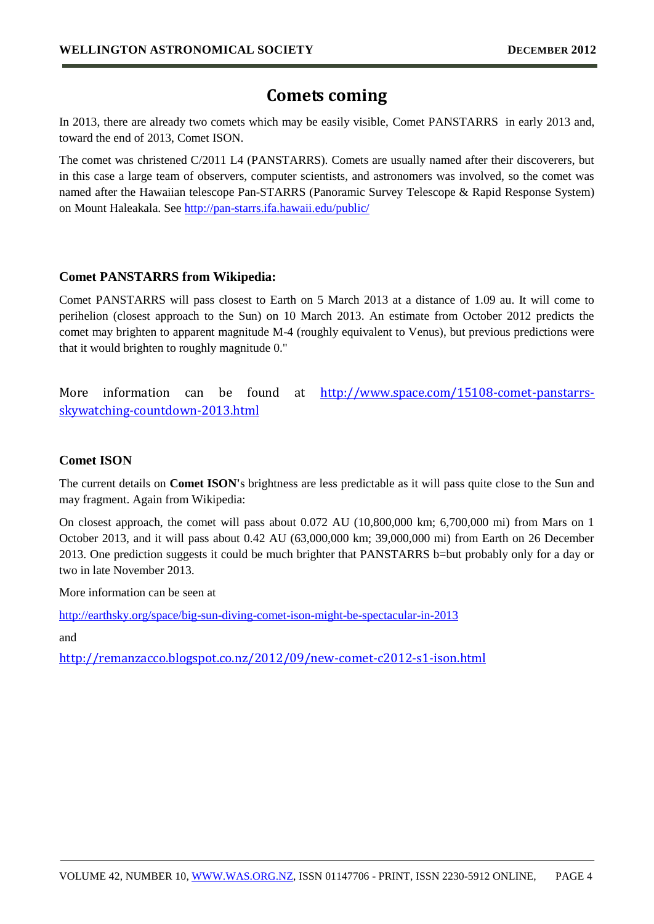## **Comets coming**

In 2013, there are already two comets which may be easily visible, Comet PANSTARRS in early 2013 and, toward the end of 2013, Comet ISON.

The comet was christened C/2011 L4 (PANSTARRS). Comets are usually named after their discoverers, but in this case a large team of observers, computer scientists, and astronomers was involved, so the comet was named after the Hawaiian telescope Pan-STARRS (Panoramic Survey Telescope & Rapid Response System) on Mount Haleakala. See<http://pan-starrs.ifa.hawaii.edu/public/>

#### **Comet PANSTARRS from Wikipedia:**

Comet PANSTARRS will pass closest to Earth on 5 March 2013 at a distance of 1.09 au. It will come to perihelion (closest approach to the Sun) on 10 March 2013. An estimate from October 2012 predicts the comet may brighten to apparent magnitude M-4 (roughly equivalent to Venus), but previous predictions were that it would brighten to roughly magnitude 0."

More information can be found at [http://www.space.com/15108-comet-panstarrs](http://www.space.com/15108-comet-panstarrs-skywatching-countdown-2013.html)[skywatching-countdown-2013.html](http://www.space.com/15108-comet-panstarrs-skywatching-countdown-2013.html)

#### **Comet ISON**

The current details on **Comet ISON'**s brightness are less predictable as it will pass quite close to the Sun and may fragment. Again from Wikipedia:

On closest approach, the comet will pass about 0.072 AU (10,800,000 km; 6,700,000 mi) from Mars on 1 October 2013, and it will pass about 0.42 AU (63,000,000 km; 39,000,000 mi) from Earth on 26 December 2013. One prediction suggests it could be much brighter that PANSTARRS b=but probably only for a day or two in late November 2013.

More information can be seen at

<http://earthsky.org/space/big-sun-diving-comet-ison-might-be-spectacular-in-2013>

and

<http://remanzacco.blogspot.co.nz/2012/09/new-comet-c2012-s1-ison.html>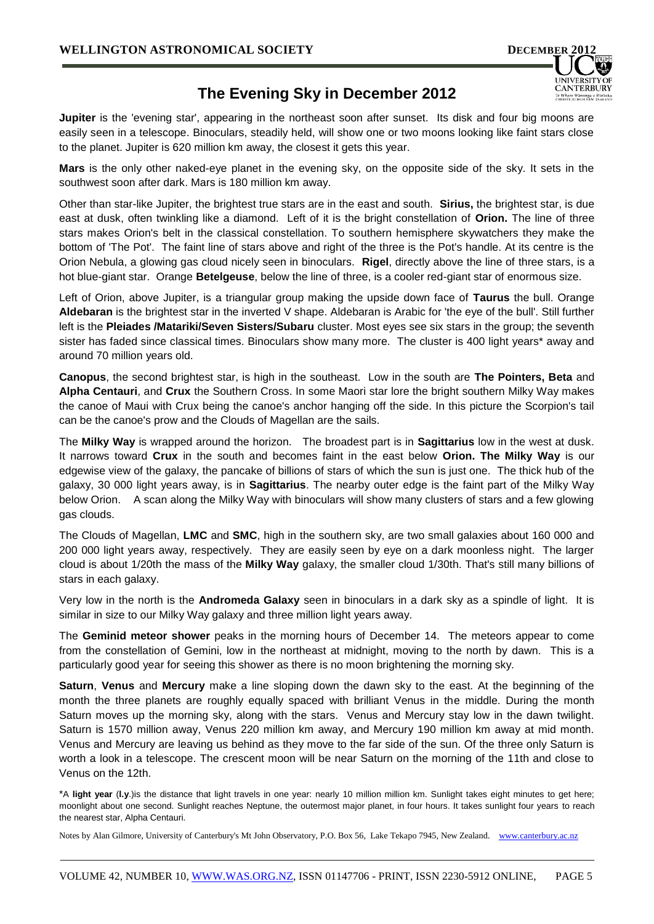

## **The Evening Sky in December 2012**

**Jupiter** is the 'evening star', appearing in the northeast soon after sunset. Its disk and four big moons are easily seen in a telescope. Binoculars, steadily held, will show one or two moons looking like faint stars close to the planet. Jupiter is 620 million km away, the closest it gets this year.

**Mars** is the only other naked-eye planet in the evening sky, on the opposite side of the sky. It sets in the southwest soon after dark. Mars is 180 million km away.

Other than star-like Jupiter, the brightest true stars are in the east and south. **Sirius,** the brightest star, is due east at dusk, often twinkling like a diamond. Left of it is the bright constellation of **Orion.** The line of three stars makes Orion's belt in the classical constellation. To southern hemisphere skywatchers they make the bottom of 'The Pot'. The faint line of stars above and right of the three is the Pot's handle. At its centre is the Orion Nebula, a glowing gas cloud nicely seen in binoculars. **Rigel**, directly above the line of three stars, is a hot blue-giant star. Orange **Betelgeuse**, below the line of three, is a cooler red-giant star of enormous size.

Left of Orion, above Jupiter, is a triangular group making the upside down face of **Taurus** the bull. Orange **Aldebaran** is the brightest star in the inverted V shape. Aldebaran is Arabic for 'the eye of the bull'. Still further left is the **Pleiades /Matariki/Seven Sisters/Subaru** cluster. Most eyes see six stars in the group; the seventh sister has faded since classical times. Binoculars show many more. The cluster is 400 light years\* away and around 70 million years old.

**Canopus**, the second brightest star, is high in the southeast. Low in the south are **The Pointers, Beta** and **Alpha Centauri**, and **Crux** the Southern Cross. In some Maori star lore the bright southern Milky Way makes the canoe of Maui with Crux being the canoe's anchor hanging off the side. In this picture the Scorpion's tail can be the canoe's prow and the Clouds of Magellan are the sails.

The **Milky Way** is wrapped around the horizon. The broadest part is in **Sagittarius** low in the west at dusk. It narrows toward **Crux** in the south and becomes faint in the east below **Orion. The Milky Way** is our edgewise view of the galaxy, the pancake of billions of stars of which the sun is just one. The thick hub of the galaxy, 30 000 light years away, is in **Sagittarius**. The nearby outer edge is the faint part of the Milky Way below Orion. A scan along the Milky Way with binoculars will show many clusters of stars and a few glowing gas clouds.

The Clouds of Magellan, **LMC** and **SMC**, high in the southern sky, are two small galaxies about 160 000 and 200 000 light years away, respectively. They are easily seen by eye on a dark moonless night. The larger cloud is about 1/20th the mass of the **Milky Way** galaxy, the smaller cloud 1/30th. That's still many billions of stars in each galaxy.

Very low in the north is the **Andromeda Galaxy** seen in binoculars in a dark sky as a spindle of light. It is similar in size to our Milky Way galaxy and three million light years away.

The **Geminid meteor shower** peaks in the morning hours of December 14. The meteors appear to come from the constellation of Gemini, low in the northeast at midnight, moving to the north by dawn. This is a particularly good year for seeing this shower as there is no moon brightening the morning sky.

**Saturn**, **Venus** and **Mercury** make a line sloping down the dawn sky to the east. At the beginning of the month the three planets are roughly equally spaced with brilliant Venus in the middle. During the month Saturn moves up the morning sky, along with the stars. Venus and Mercury stay low in the dawn twilight. Saturn is 1570 million away, Venus 220 million km away, and Mercury 190 million km away at mid month. Venus and Mercury are leaving us behind as they move to the far side of the sun. Of the three only Saturn is worth a look in a telescope. The crescent moon will be near Saturn on the morning of the 11th and close to Venus on the 12th.

\*A **light year** (**l.y**.)is the distance that light travels in one year: nearly 10 million million km. Sunlight takes eight minutes to get here; moonlight about one second. Sunlight reaches Neptune, the outermost major planet, in four hours. It takes sunlight four years to reach the nearest star, Alpha Centauri.

Notes by Alan Gilmore, University of Canterbury's Mt John Observatory, P.O. Box 56, Lake Tekapo 7945, New Zealand. [www.canterbury.ac.nz](http://www.canterbury.ac.nz/)